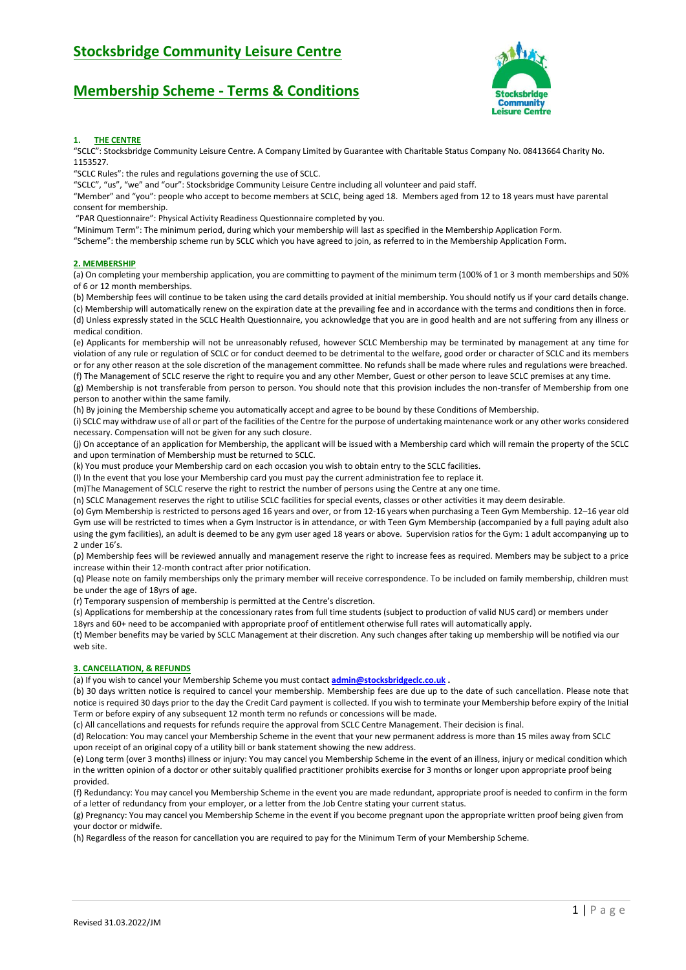## **Membership Scheme - Terms & Conditions**



### **1. THE CENTRE**

"SCLC": Stocksbridge Community Leisure Centre. A Company Limited by Guarantee with Charitable Status Company No. 08413664 Charity No. 1153527.

"SCLC Rules": the rules and regulations governing the use of SCLC.

"SCLC", "us", "we" and "our": Stocksbridge Community Leisure Centre including all volunteer and paid staff.

"Member" and "you": people who accept to become members at SCLC, being aged 18. Members aged from 12 to 18 years must have parental

consent for membership.

"PAR Questionnaire": Physical Activity Readiness Questionnaire completed by you.

"Minimum Term": The minimum period, during which your membership will last as specified in the Membership Application Form.

"Scheme": the membership scheme run by SCLC which you have agreed to join, as referred to in the Membership Application Form.

### **2. MEMBERSHIP**

(a) On completing your membership application, you are committing to payment of the minimum term (100% of 1 or 3 month memberships and 50% of 6 or 12 month memberships.

(b) Membership fees will continue to be taken using the card details provided at initial membership. You should notify us if your card details change. (c) Membership will automatically renew on the expiration date at the prevailing fee and in accordance with the terms and conditions then in force. (d) Unless expressly stated in the SCLC Health Questionnaire, you acknowledge that you are in good health and are not suffering from any illness or medical condition.

(e) Applicants for membership will not be unreasonably refused, however SCLC Membership may be terminated by management at any time for violation of any rule or regulation of SCLC or for conduct deemed to be detrimental to the welfare, good order or character of SCLC and its members or for any other reason at the sole discretion of the management committee. No refunds shall be made where rules and regulations were breached. (f) The Management of SCLC reserve the right to require you and any other Member, Guest or other person to leave SCLC premises at any time.

(g) Membership is not transferable from person to person. You should note that this provision includes the non-transfer of Membership from one person to another within the same family.

(h) By joining the Membership scheme you automatically accept and agree to be bound by these Conditions of Membership.

(i) SCLC may withdraw use of all or part of the facilities of the Centre for the purpose of undertaking maintenance work or any other works considered necessary. Compensation will not be given for any such closure.

(j) On acceptance of an application for Membership, the applicant will be issued with a Membership card which will remain the property of the SCLC and upon termination of Membership must be returned to SCLC.

(k) You must produce your Membership card on each occasion you wish to obtain entry to the SCLC facilities.

(l) In the event that you lose your Membership card you must pay the current administration fee to replace it.

(m)The Management of SCLC reserve the right to restrict the number of persons using the Centre at any one time.

(n) SCLC Management reserves the right to utilise SCLC facilities for special events, classes or other activities it may deem desirable.

(o) Gym Membership is restricted to persons aged 16 years and over, or from 12-16 years when purchasing a Teen Gym Membership. 12–16 year old Gym use will be restricted to times when a Gym Instructor is in attendance, or with Teen Gym Membership (accompanied by a full paying adult also using the gym facilities), an adult is deemed to be any gym user aged 18 years or above. Supervision ratios for the Gym: 1 adult accompanying up to 2 under 16's.

(p) Membership fees will be reviewed annually and management reserve the right to increase fees as required. Members may be subject to a price increase within their 12-month contract after prior notification.

(q) Please note on family memberships only the primary member will receive correspondence. To be included on family membership, children must be under the age of 18yrs of age.

(r) Temporary suspension of membership is permitted at the Centre's discretion.

(s) Applications for membership at the concessionary rates from full time students (subject to production of valid NUS card) or members under

18yrs and 60+ need to be accompanied with appropriate proof of entitlement otherwise full rates will automatically apply.

(t) Member benefits may be varied by SCLC Management at their discretion. Any such changes after taking up membership will be notified via our web site.

### **3. CANCELLATION, & REFUNDS**

(a) If you wish to cancel your Membership Scheme you must contact **[admin@stocksbridgeclc.co.uk](mailto:admin@stocksbridgeclc.co.uk) .**

(b) 30 days written notice is required to cancel your membership. Membership fees are due up to the date of such cancellation. Please note that notice is required 30 days prior to the day the Credit Card payment is collected. If you wish to terminate your Membership before expiry of the Initial Term or before expiry of any subsequent 12 month term no refunds or concessions will be made.

(c) All cancellations and requests for refunds require the approval from SCLC Centre Management. Their decision is final.

(d) Relocation: You may cancel your Membership Scheme in the event that your new permanent address is more than 15 miles away from SCLC upon receipt of an original copy of a utility bill or bank statement showing the new address.

(e) Long term (over 3 months) illness or injury: You may cancel you Membership Scheme in the event of an illness, injury or medical condition which in the written opinion of a doctor or other suitably qualified practitioner prohibits exercise for 3 months or longer upon appropriate proof being provided.

(f) Redundancy: You may cancel you Membership Scheme in the event you are made redundant, appropriate proof is needed to confirm in the form of a letter of redundancy from your employer, or a letter from the Job Centre stating your current status.

(g) Pregnancy: You may cancel you Membership Scheme in the event if you become pregnant upon the appropriate written proof being given from your doctor or midwife.

(h) Regardless of the reason for cancellation you are required to pay for the Minimum Term of your Membership Scheme.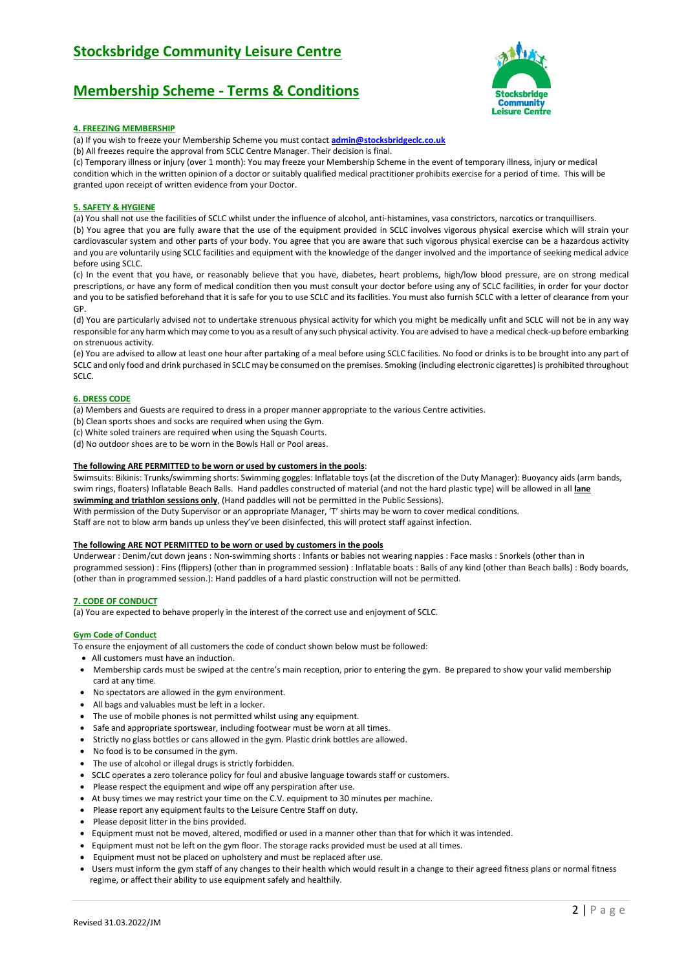# **Membership Scheme - Terms & Conditions**



## **4. FREEZING MEMBERSHIP**

(a) If you wish to freeze your Membership Scheme you must contact **[admin@stocksbridgeclc.co.uk](mailto:admin@stocksbridgeclc.co.uk)**

(b) All freezes require the approval from SCLC Centre Manager. Their decision is final.

(c) Temporary illness or injury (over 1 month): You may freeze your Membership Scheme in the event of temporary illness, injury or medical condition which in the written opinion of a doctor or suitably qualified medical practitioner prohibits exercise for a period of time. This will be granted upon receipt of written evidence from your Doctor.

## **5. SAFETY & HYGIENE**

(a) You shall not use the facilities of SCLC whilst under the influence of alcohol, anti-histamines, vasa constrictors, narcotics or tranquillisers. (b) You agree that you are fully aware that the use of the equipment provided in SCLC involves vigorous physical exercise which will strain your cardiovascular system and other parts of your body. You agree that you are aware that such vigorous physical exercise can be a hazardous activity and you are voluntarily using SCLC facilities and equipment with the knowledge of the danger involved and the importance of seeking medical advice before using SCLC.

(c) In the event that you have, or reasonably believe that you have, diabetes, heart problems, high/low blood pressure, are on strong medical prescriptions, or have any form of medical condition then you must consult your doctor before using any of SCLC facilities, in order for your doctor and you to be satisfied beforehand that it is safe for you to use SCLC and its facilities. You must also furnish SCLC with a letter of clearance from your GP.

(d) You are particularly advised not to undertake strenuous physical activity for which you might be medically unfit and SCLC will not be in any way responsible for any harm which may come to you as a result of any such physical activity. You are advised to have a medical check-up before embarking on strenuous activity.

(e) You are advised to allow at least one hour after partaking of a meal before using SCLC facilities. No food or drinks is to be brought into any part of SCLC and only food and drink purchased in SCLC may be consumed on the premises. Smoking (including electronic cigarettes) is prohibited throughout SCLC.

## **6. DRESS CODE**

(a) Members and Guests are required to dress in a proper manner appropriate to the various Centre activities.

- (b) Clean sports shoes and socks are required when using the Gym.
- (c) White soled trainers are required when using the Squash Courts.
- (d) No outdoor shoes are to be worn in the Bowls Hall or Pool areas.

## **The following ARE PERMITTED to be worn or used by customers in the pools**:

Swimsuits: Bikinis: Trunks/swimming shorts: Swimming goggles: Inflatable toys (at the discretion of the Duty Manager): Buoyancy aids (arm bands, swim rings, floaters) Inflatable Beach Balls. Hand paddles constructed of material (and not the hard plastic type) will be allowed in all **lane** 

**swimming and triathlon sessions only**, (Hand paddles will not be permitted in the Public Sessions).

With permission of the Duty Supervisor or an appropriate Manager, 'T' shirts may be worn to cover medical conditions.

Staff are not to blow arm bands up unless they've been disinfected, this will protect staff against infection.

### **The following ARE NOT PERMITTED to be worn or used by customers in the pools**

Underwear : Denim/cut down jeans : Non-swimming shorts : Infants or babies not wearing nappies : Face masks : Snorkels (other than in programmed session) : Fins (flippers) (other than in programmed session) : Inflatable boats : Balls of any kind (other than Beach balls) : Body boards, (other than in programmed session.): Hand paddles of a hard plastic construction will not be permitted.

### **7. CODE OF CONDUCT**

(a) You are expected to behave properly in the interest of the correct use and enjoyment of SCLC.

### **Gym Code of Conduct**

To ensure the enjoyment of all customers the code of conduct shown below must be followed:

- All customers must have an induction.
- Membership cards must be swiped at the centre's main reception, prior to entering the gym. Be prepared to show your valid membership card at any time.
- No spectators are allowed in the gym environment.
- All bags and valuables must be left in a locker.
- The use of mobile phones is not permitted whilst using any equipment.
- Safe and appropriate sportswear, including footwear must be worn at all times.
- Strictly no glass bottles or cans allowed in the gym. Plastic drink bottles are allowed.
- No food is to be consumed in the gym.
- The use of alcohol or illegal drugs is strictly forbidden.
- SCLC operates a zero tolerance policy for foul and abusive language towards staff or customers.
- Please respect the equipment and wipe off any perspiration after use.
- At busy times we may restrict your time on the C.V. equipment to 30 minutes per machine.
- Please report any equipment faults to the Leisure Centre Staff on duty.
- Please deposit litter in the bins provided.
- Equipment must not be moved, altered, modified or used in a manner other than that for which it was intended.
- Equipment must not be left on the gym floor. The storage racks provided must be used at all times.
- Equipment must not be placed on upholstery and must be replaced after use.
- Users must inform the gym staff of any changes to their health which would result in a change to their agreed fitness plans or normal fitness regime, or affect their ability to use equipment safely and healthily.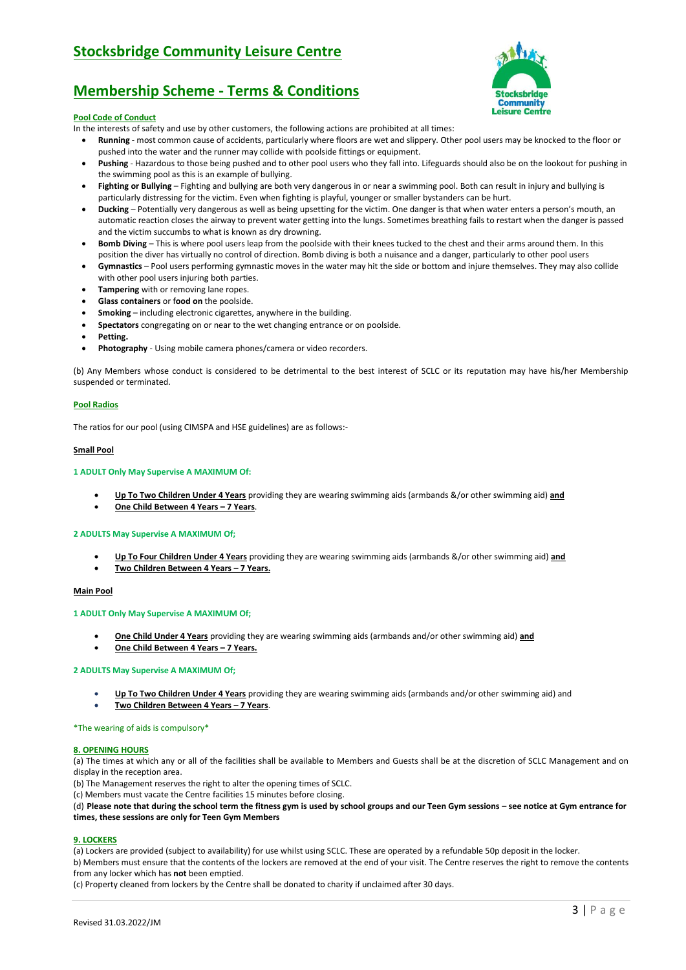# **Membership Scheme - Terms & Conditions**

### **Pool Code of Conduct**

In the interests of safety and use by other customers, the following actions are prohibited at all times:

- **Running** most common cause of accidents, particularly where floors are wet and slippery. Other pool users may be knocked to the floor or pushed into the water and the runner may collide with poolside fittings or equipment.
- **Pushing** Hazardous to those being pushed and to other pool users who they fall into. Lifeguards should also be on the lookout for pushing in the swimming pool as this is an example of bullying.
- Fighting or Bullying Fighting and bullying are both very dangerous in or near a swimming pool. Both can result in injury and bullying is particularly distressing for the victim. Even when fighting is playful, younger or smaller bystanders can be hurt.
- **Ducking** Potentially very dangerous as well as being upsetting for the victim. One danger is that when water enters a person's mouth, an automatic reaction closes the airway to prevent water getting into the lungs. Sometimes breathing fails to restart when the danger is passed and the victim succumbs to what is known as dry drowning.
- **Bomb Diving** This is where pool users leap from the poolside with their knees tucked to the chest and their arms around them. In this position the diver has virtually no control of direction. Bomb diving is both a nuisance and a danger, particularly to other pool users
- **Gymnastics** Pool users performing gymnastic moves in the water may hit the side or bottom and injure themselves. They may also collide with other pool users injuring both parties.
- **Tampering** with or removing lane ropes.
- **Glass containers** or f**ood on** the poolside.
- **Smoking** including electronic cigarettes, anywhere in the building.
- **Spectators** congregating on or near to the wet changing entrance or on poolside.
- **Petting.**
- **Photography** Using mobile camera phones/camera or video recorders.

(b) Any Members whose conduct is considered to be detrimental to the best interest of SCLC or its reputation may have his/her Membership suspended or terminated.

#### **Pool Radios**

The ratios for our pool (using CIMSPA and HSE guidelines) are as follows:-

#### **Small Pool**

### **1 ADULT Only May Supervise A MAXIMUM Of:**

- **Up To Two Children Under 4 Years** providing they are wearing swimming aids (armbands &/or other swimming aid) **and**
- **One Child Between 4 Years – 7 Years**.

#### **2 ADULTS May Supervise A MAXIMUM Of;**

 **Up To Four Children Under 4 Years** providing they are wearing swimming aids (armbands &/or other swimming aid) **and Two Children Between 4 Years – 7 Years.**

#### **Main Pool**

#### **1 ADULT Only May Supervise A MAXIMUM Of;**

- **One Child Under 4 Years** providing they are wearing swimming aids (armbands and/or other swimming aid) **and**
- **One Child Between 4 Years – 7 Years.**

#### **2 ADULTS May Supervise A MAXIMUM Of;**

- **Up To Two Children Under 4 Years** providing they are wearing swimming aids (armbands and/or other swimming aid) and
- **Two Children Between 4 Years – 7 Years**.

#### \*The wearing of aids is compulsory\*

#### **8. OPENING HOURS**

(a) The times at which any or all of the facilities shall be available to Members and Guests shall be at the discretion of SCLC Management and on display in the reception area.

(b) The Management reserves the right to alter the opening times of SCLC.

(c) Members must vacate the Centre facilities 15 minutes before closing.

(d) **Please note that during the school term the fitness gym is used by school groups and our Teen Gym sessions – see notice at Gym entrance for times, these sessions are only for Teen Gym Members** 

#### **9. LOCKERS**

(a) Lockers are provided (subject to availability) for use whilst using SCLC. These are operated by a refundable 50p deposit in the locker.

b) Members must ensure that the contents of the lockers are removed at the end of your visit. The Centre reserves the right to remove the contents from any locker which has **not** been emptied.

(c) Property cleaned from lockers by the Centre shall be donated to charity if unclaimed after 30 days.